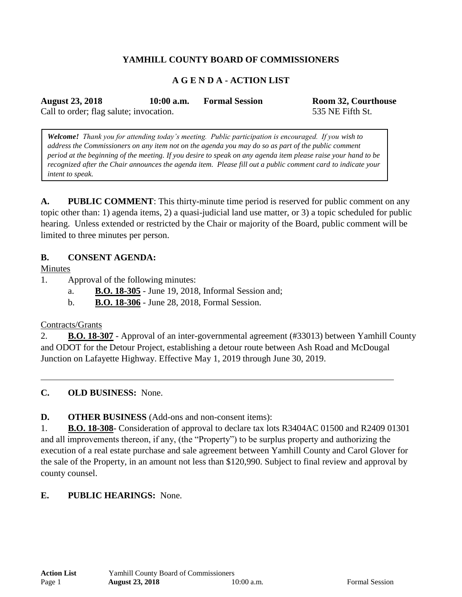# **YAMHILL COUNTY BOARD OF COMMISSIONERS**

## **A G E N D A - ACTION LIST**

**August 23, 2018 10:00 a.m. Formal Session Room 32, Courthouse**

Call to order; flag salute; invocation. 535 NE Fifth St.

*Welcome! Thank you for attending today's meeting. Public participation is encouraged. If you wish to address the Commissioners on any item not on the agenda you may do so as part of the public comment period at the beginning of the meeting. If you desire to speak on any agenda item please raise your hand to be recognized after the Chair announces the agenda item. Please fill out a public comment card to indicate your intent to speak.*

**A. PUBLIC COMMENT**: This thirty-minute time period is reserved for public comment on any topic other than: 1) agenda items, 2) a quasi-judicial land use matter, or 3) a topic scheduled for public hearing. Unless extended or restricted by the Chair or majority of the Board, public comment will be limited to three minutes per person.

## **B. CONSENT AGENDA:**

Minutes

- 1. Approval of the following minutes:
	- a. **B.O. 18-305** June 19, 2018, Informal Session and;
	- b. **B.O. 18-306** June 28, 2018, Formal Session.

#### Contracts/Grants

2. **B.O. 18-307** - Approval of an inter-governmental agreement (#33013) between Yamhill County and ODOT for the Detour Project, establishing a detour route between Ash Road and McDougal Junction on Lafayette Highway. Effective May 1, 2019 through June 30, 2019.

**C. OLD BUSINESS:** None.

**D. OTHER BUSINESS** (Add-ons and non-consent items):

1. **B.O. 18-308**- Consideration of approval to declare tax lots R3404AC 01500 and R2409 01301 and all improvements thereon, if any, (the "Property") to be surplus property and authorizing the execution of a real estate purchase and sale agreement between Yamhill County and Carol Glover for the sale of the Property, in an amount not less than \$120,990. Subject to final review and approval by county counsel.

## **E. PUBLIC HEARINGS:** None.